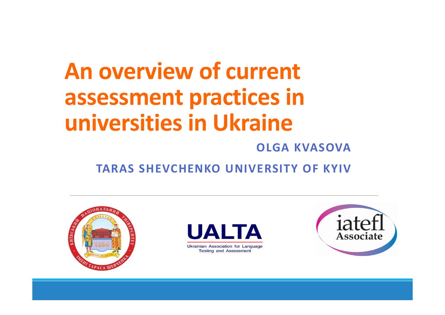# **An overview of current assessment practices in universities in Ukraine**

#### **OLGA KVASOVA**

**TARAS SHEVCHENKO UNIVERSITY OF KYIV**





**Ukrainian Association for Language Testing and Assessment** 

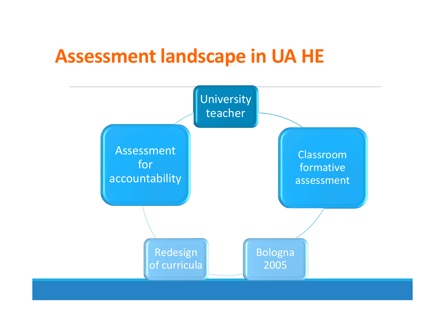### **Assessment landscape in UA HE**

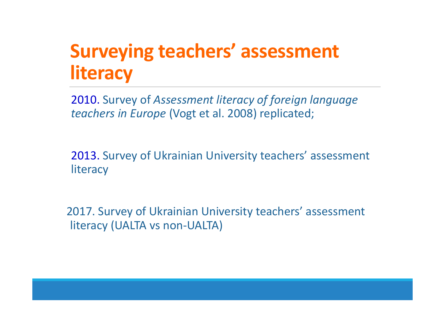### **Surveying teachers' assessment literacy**

2010. Survey of *Assessment literacy of foreign language teachers in Europe* (Vogt et al. 2008) replicated;

2013. Survey of Ukrainian University teachers' assessment **literacy** 

2017. Survey of Ukrainian University teachers' assessment literacy (UALTA vs non‐UALTA)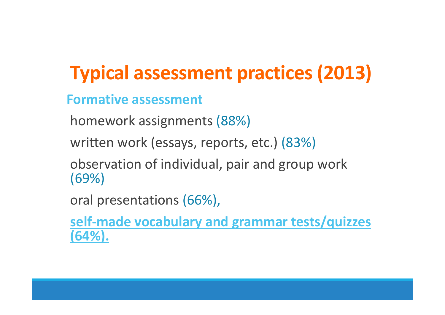### **Typical assessment practices (2013)**

### **Formative assessment**

homework assignments (88%)

written work (essays, reports, etc.) (83%)

observation of individual, pair and group work (69%)

oral presentations (66%),

**self‐made vocabulary and grammar tests/quizzes (64%).**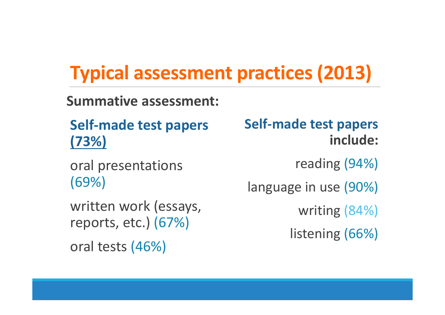### **Typical assessment practices (2013)**

**Summative assessment:**

**Self‐made test papers (73%)**

oral presentations (69%)

written work (essays, reports, etc.) (67%) oral tests (46%)

**Self‐made test papers include:**

reading (94%)

language in use (90%)

writing (84%)

listening (66%)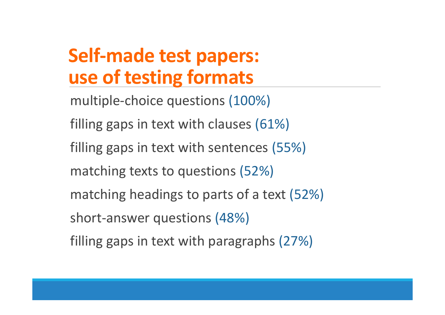### **Self‐made test papers: use of testing formats**

multiple‐choice questions (100%) filling gaps in text with clauses (61%) filling gaps in text with sentences (55%) matching texts to questions (52%) matching headings to parts of a text (52%) short‐answer questions (48%) filling gaps in text with paragraphs (27%)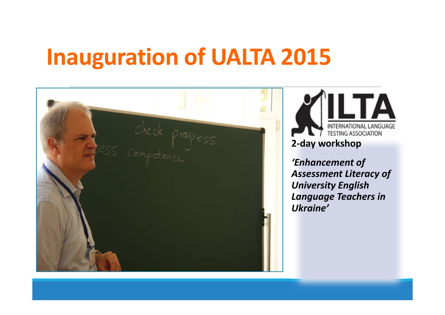### **Inauguration of UALTA 2015**

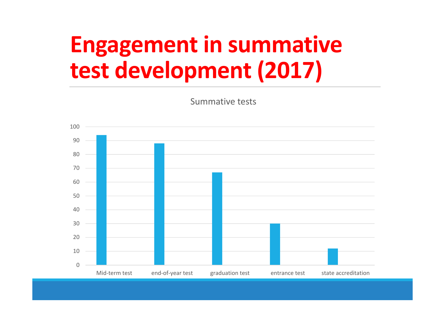# **Engagement in summative test development (2017)**

Summative tests

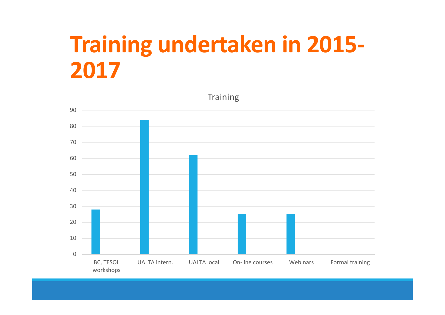# **Training undertaken in 2015‐**

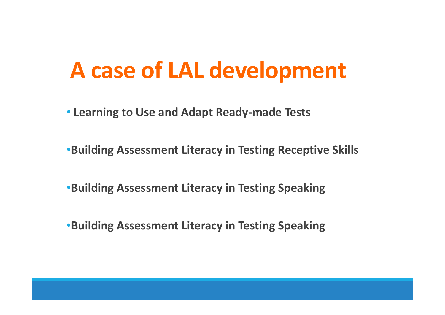## **A case of LAL development**

- **Learning to Use and Adapt Ready‐made Tests**
- •**Building Assessment Literacy in Testing Receptive Skills**
- •**Building Assessment Literacy in Testing Speaking**
- •**Building Assessment Literacy in Testing Speaking**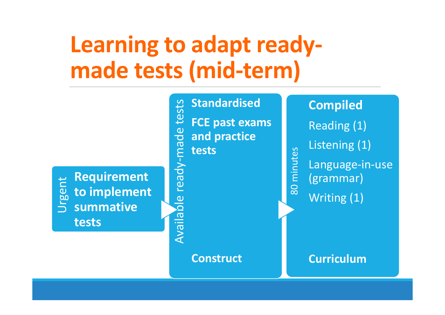# **Learning to adapt ready‐ made tests (mid‐term)**

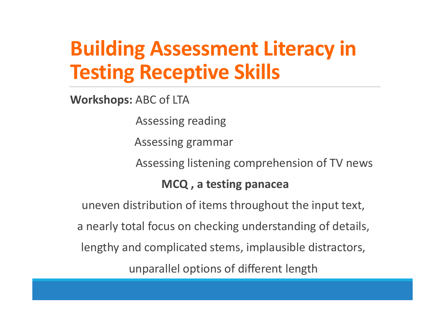### **Building Assessment Literacy in Testing Receptive Skills**

**Workshops:** ABC of LTA

Assessing reading

Assessing grammar

Assessing listening comprehension of TV news

### **MCQ , a testing panacea**

uneven distribution of items throughout the input text, a nearly total focus on checking understanding of details, lengthy and complicated stems, implausible distractors, unparallel options of different length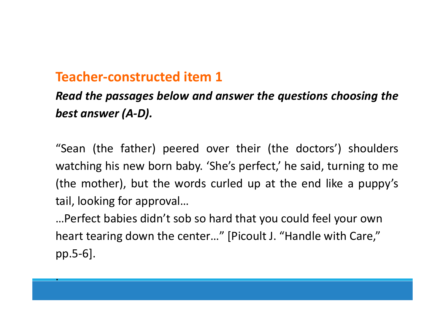### **Teacher‐constructed item 1**

.

### *Read the passages below and answer the questions choosing the best answer (A‐D).*

"Sean (the father) peered over their (the doctors') shoulders watching his new born baby. 'She's perfect,' he said, turning to me (the mother), but the words curled up at the end like <sup>a</sup> puppy's tail, looking for approval…

…Perfect babies didn't sob so hard that you could feel your own heart tearing down the center…" [Picoult J. "Handle with Care," pp.5‐6].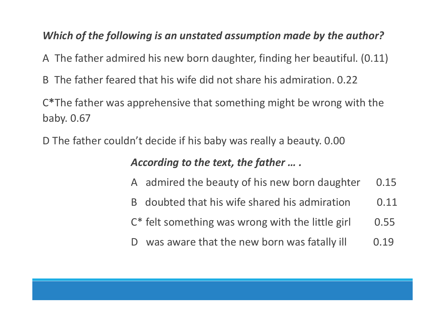#### *Which of the following is an unstated assumption made by the author?*

A The father admired his new born daughter, finding her beautiful. (0.11)

B The father feared that his wife did not share his admiration. 0.22

C **\***The father was apprehensive that something might be wrong with the baby. 0.67

D The father couldn't decide if his baby was really a beauty. 0.00

#### *According to the text, the father … .*

- A admired the beauty of his new born daughter 0.15
- B doubted that his wife shared his admiration 0.11
- $C^*$  felt something was wrong with the little girl  $0.55$
- D was aware that the new born was fatally ill  $0.19$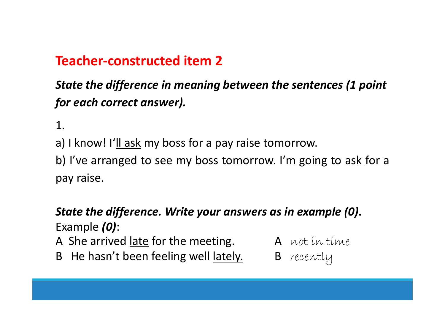### **Teacher‐constructed item 2**

### *State the difference in meaning between the sentences (1 point for each correct answer).*

1.

a) I know! I'll ask my boss for <sup>a</sup> pay raise tomorrow.

b) I've arranged to see my boss tomorrow. I'm going to ask for <sup>a</sup> pay raise.

### *State the difference. Write your answers as in example (0)***.**  Example *(0)*:

A She arrived late for the meeting.  $A$  wot in time

- B He hasn't been feeling well lately. B recently
- -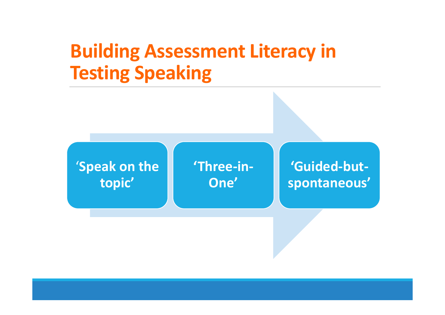### **Building Assessment Literacy in Testing Speaking**

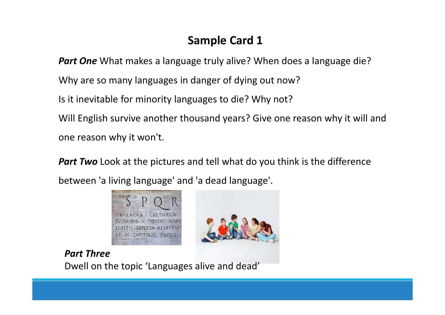### **Sample Card 1**

*Part One* What makes a language truly alive? When does a language die? Why are so many languages in danger of dying out now? Is it inevitable for minority languages to die? Why not? Will English survive another thousand years? Give one reason why it will and one reason why it won't.

**Part Two** Look at the pictures and tell what do you think is the difference between 'a living language' and 'a dead language'.



*Part Three*Dwell on the topic 'Languages alive and dead'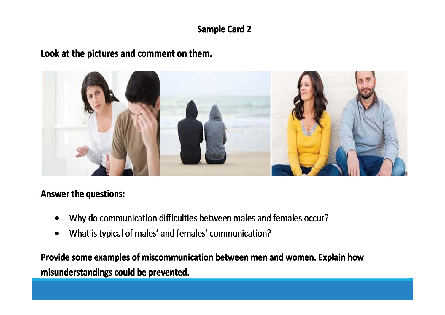#### **Sample Card 2**

#### Look at the pictures and comment on them.



#### **Answer the questions:**

- Why do communication difficulties between males and females occur?  $\bullet$
- What is typical of males' and females' communication?  $\bullet$

Provide some examples of miscommunication between men and women. Explain how misunderstandings could be prevented.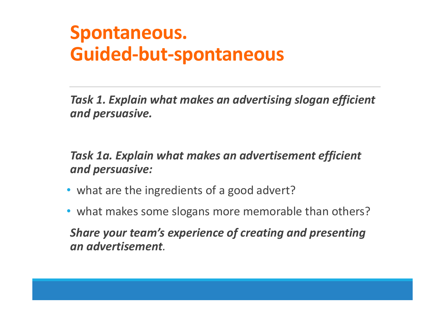### **Spontaneous. Guided‐but‐spontaneous**

*Task 1. Explain what makes an advertising slogan efficient and persuasive.*

*Task 1a. Explain what makes an advertisement efficient and persuasive:*

- what are the ingredients of <sup>a</sup> good advert?
- what makes some slogans more memorable than others?

*Share your team's experience of creating and presenting an advertisement.*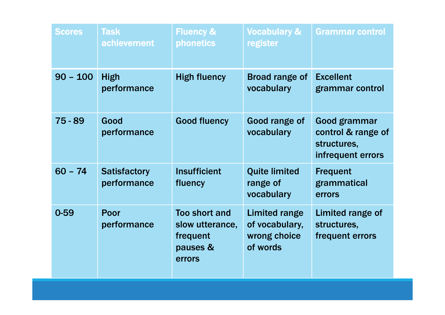| <b>Scores</b> | <b>Task</b><br>achievement         | <b>Fluency &amp;</b><br><b>phonetics</b>                                  | <b>Vocabulary &amp;</b><br>register                                | <b>Grammar control</b>                                                 |
|---------------|------------------------------------|---------------------------------------------------------------------------|--------------------------------------------------------------------|------------------------------------------------------------------------|
| $90 - 100$    | <b>High</b><br>performance         | <b>High fluency</b>                                                       | <b>Broad range of</b><br>vocabulary                                | <b>Excellent</b><br>grammar control                                    |
| $75 - 89$     | Good<br>performance                | <b>Good fluency</b>                                                       | Good range of<br>vocabulary                                        | Good grammar<br>control & range of<br>structures,<br>infrequent errors |
| $60 - 74$     | <b>Satisfactory</b><br>performance | <b>Insufficient</b><br>fluency                                            | <b>Quite limited</b><br>range of<br>vocabulary                     | <b>Frequent</b><br>grammatical<br>errors                               |
| $0 - 59$      | Poor<br>performance                | <b>Too short and</b><br>slow utterance,<br>frequent<br>pauses &<br>errors | <b>Limited range</b><br>of vocabulary,<br>wrong choice<br>of words | <b>Limited range of</b><br>structures,<br>frequent errors              |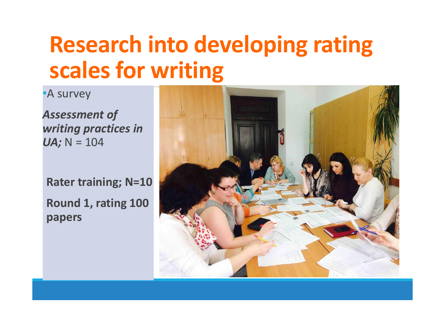# **Research into developing rating scales for writing**

•A survey

*Assessment of writing practices in UA;* N = 104

**Rater training; N=10 Round 1, rating 100 papers**

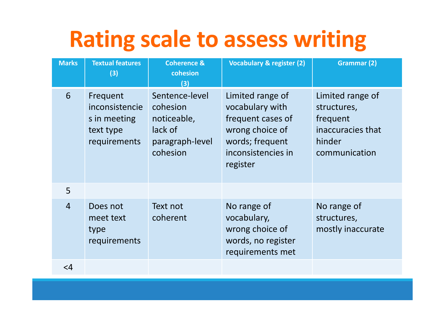# **Rating scale to assess writing**

| <b>Marks</b>   | <b>Textual features</b><br>(3)                                          | <b>Coherence &amp;</b><br>cohesion<br>(3)                                           | Vocabulary & register (2)                                                                                                        | <b>Grammar (2)</b>                                                                          |
|----------------|-------------------------------------------------------------------------|-------------------------------------------------------------------------------------|----------------------------------------------------------------------------------------------------------------------------------|---------------------------------------------------------------------------------------------|
| 6              | Frequent<br>inconsistencie<br>s in meeting<br>text type<br>requirements | Sentence-level<br>cohesion<br>noticeable,<br>lack of<br>paragraph-level<br>cohesion | Limited range of<br>vocabulary with<br>frequent cases of<br>wrong choice of<br>words; frequent<br>inconsistencies in<br>register | Limited range of<br>structures,<br>frequent<br>inaccuracies that<br>hinder<br>communication |
| 5              |                                                                         |                                                                                     |                                                                                                                                  |                                                                                             |
| $\overline{4}$ | Does not<br>meet text<br>type<br>requirements                           | Text not<br>coherent                                                                | No range of<br>vocabulary,<br>wrong choice of<br>words, no register<br>requirements met                                          | No range of<br>structures,<br>mostly inaccurate                                             |
| $\leq$ 4       |                                                                         |                                                                                     |                                                                                                                                  |                                                                                             |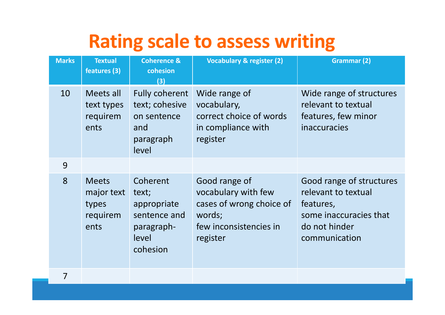### **Rating scale to assess writing**

| <b>Marks</b> | <b>Textual</b><br>features (3)                          | <b>Coherence &amp;</b><br>cohesion<br>(3)                                           | <b>Vocabulary &amp; register (2)</b>                                                                             | <b>Grammar (2)</b>                                                                                                       |
|--------------|---------------------------------------------------------|-------------------------------------------------------------------------------------|------------------------------------------------------------------------------------------------------------------|--------------------------------------------------------------------------------------------------------------------------|
| 10           | Meets all<br>text types<br>requirem<br>ents             | <b>Fully coherent</b><br>text; cohesive<br>on sentence<br>and<br>paragraph<br>level | Wide range of<br>vocabulary,<br>correct choice of words<br>in compliance with<br>register                        | Wide range of structures<br>relevant to textual<br>features, few minor<br>inaccuracies                                   |
| 9            |                                                         |                                                                                     |                                                                                                                  |                                                                                                                          |
| 8            | <b>Meets</b><br>major text<br>types<br>requirem<br>ents | Coherent<br>text;<br>appropriate<br>sentence and<br>paragraph-<br>level<br>cohesion | Good range of<br>vocabulary with few<br>cases of wrong choice of<br>words;<br>few inconsistencies in<br>register | Good range of structures<br>relevant to textual<br>features,<br>some inaccuracies that<br>do not hinder<br>communication |
|              |                                                         |                                                                                     |                                                                                                                  |                                                                                                                          |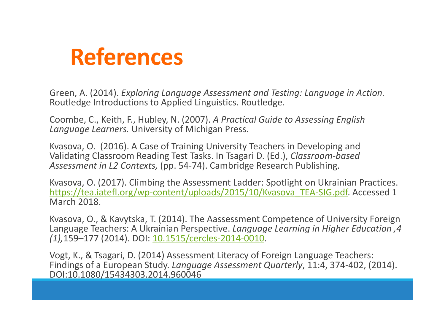### **References**

Green, A. (2014). *Exploring Language Assessment and Testing: Language in Action.* Routledge Introductions to Applied Linguistics. Routledge.

Coombe, C., Keith, F., Hubley, N. (2007). *A Practical Guide to Assessing English Language Learners.* University of Michigan Press.

Kvasova, O. (2016). A Case of Training University Teachers in Developing and Validating Classroom Reading Test Tasks. In Tsagari D. (Ed.), *Classroom‐based Assessment in L2 Contexts,* (pp. 54‐74). Cambridge Research Publishing.

Kvasova, O. (2017). Climbing the Assessment Ladder: Spotlight on Ukrainian Practices. https://tea.iatefl.org/wp-content/uploads/2015/10/Kvasova\_TEA-SIG.pdf. Accessed 1 **March 2018** 

Kvasova, O., & Kavytska, T. (2014). The Aassessment Competence of University Foreign Language Teachers: A Ukrainian Perspective. *Language Learning in Higher Education ,4 (1),*159–177 (2014). DOI: 10.1515/cercles‐2014‐0010.

Vogt, K., & Tsagari, D. (2014) Assessment Literacy of Foreign Language Teachers: Findings of a European Study. *Language Assessment Quarterly*, 11:4, 374‐402, (2014). DOI:10.1080/15434303.2014.960046